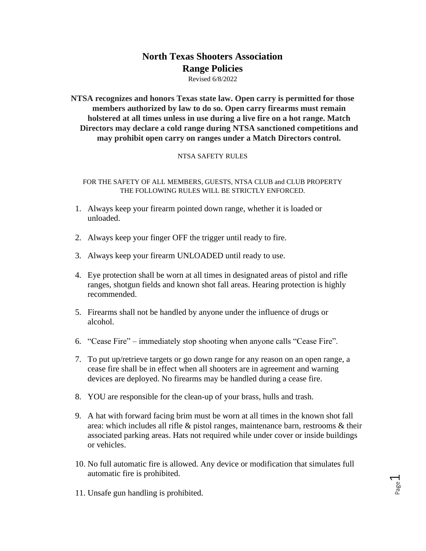# **North Texas Shooters Association Range Policies**

Revised 6/8/2022

**NTSA recognizes and honors Texas state law. Open carry is permitted for those members authorized by law to do so. Open carry firearms must remain holstered at all times unless in use during a live fire on a hot range. Match Directors may declare a cold range during NTSA sanctioned competitions and may prohibit open carry on ranges under a Match Directors control.**

# NTSA SAFETY RULES

FOR THE SAFETY OF ALL MEMBERS, GUESTS, NTSA CLUB and CLUB PROPERTY THE FOLLOWING RULES WILL BE STRICTLY ENFORCED.

- 1. Always keep your firearm pointed down range, whether it is loaded or unloaded.
- 2. Always keep your finger OFF the trigger until ready to fire.
- 3. Always keep your firearm UNLOADED until ready to use.
- 4. Eye protection shall be worn at all times in designated areas of pistol and rifle ranges, shotgun fields and known shot fall areas. Hearing protection is highly recommended.
- 5. Firearms shall not be handled by anyone under the influence of drugs or alcohol.
- 6. "Cease Fire" immediately stop shooting when anyone calls "Cease Fire".
- 7. To put up/retrieve targets or go down range for any reason on an open range, a cease fire shall be in effect when all shooters are in agreement and warning devices are deployed. No firearms may be handled during a cease fire.
- 8. YOU are responsible for the clean-up of your brass, hulls and trash.
- 9. A hat with forward facing brim must be worn at all times in the known shot fall area: which includes all rifle & pistol ranges, maintenance barn, restrooms & their associated parking areas. Hats not required while under cover or inside buildings or vehicles.
- 10. No full automatic fire is allowed. Any device or modification that simulates full automatic fire is prohibited.

Page  $\overline{\phantom{0}}$ 

11. Unsafe gun handling is prohibited.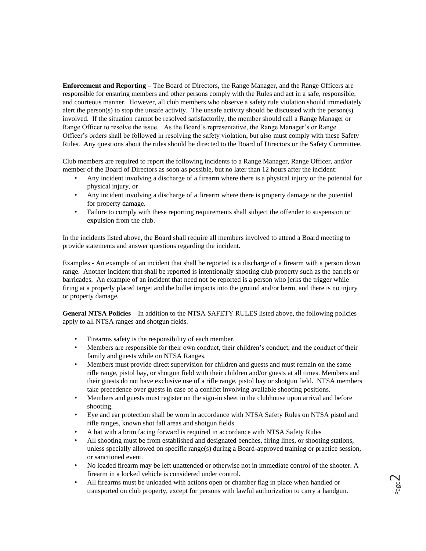**Enforcement and Reporting –** The Board of Directors, the Range Manager, and the Range Officers are responsible for ensuring members and other persons comply with the Rules and act in a safe, responsible, and courteous manner. However, all club members who observe a safety rule violation should immediately alert the person(s) to stop the unsafe activity. The unsafe activity should be discussed with the person(s) involved. If the situation cannot be resolved satisfactorily, the member should call a Range Manager or Range Officer to resolve the issue. As the Board's representative, the Range Manager's or Range Officer's orders shall be followed in resolving the safety violation, but also must comply with these Safety Rules. Any questions about the rules should be directed to the Board of Directors or the Safety Committee.

Club members are required to report the following incidents to a Range Manager, Range Officer, and/or member of the Board of Directors as soon as possible, but no later than 12 hours after the incident:

- Any incident involving a discharge of a firearm where there is a physical injury or the potential for physical injury, or
- Any incident involving a discharge of a firearm where there is property damage or the potential for property damage.
- Failure to comply with these reporting requirements shall subject the offender to suspension or expulsion from the club.

In the incidents listed above, the Board shall require all members involved to attend a Board meeting to provide statements and answer questions regarding the incident.

Examples - An example of an incident that shall be reported is a discharge of a firearm with a person down range. Another incident that shall be reported is intentionally shooting club property such as the barrels or barricades. An example of an incident that need not be reported is a person who jerks the trigger while firing at a properly placed target and the bullet impacts into the ground and/or berm, and there is no injury or property damage.

**General NTSA Policies –** In addition to the NTSA SAFETY RULES listed above, the following policies apply to all NTSA ranges and shotgun fields.

- Firearms safety is the responsibility of each member.
- Members are responsible for their own conduct, their children's conduct, and the conduct of their family and guests while on NTSA Ranges.
- Members must provide direct supervision for children and guests and must remain on the same rifle range, pistol bay, or shotgun field with their children and/or guests at all times. Members and their guests do not have exclusive use of a rifle range, pistol bay or shotgun field. NTSA members take precedence over guests in case of a conflict involving available shooting positions.
- Members and guests must register on the sign-in sheet in the clubhouse upon arrival and before shooting.
- Eye and ear protection shall be worn in accordance with NTSA Safety Rules on NTSA pistol and rifle ranges, known shot fall areas and shotgun fields.
- A hat with a brim facing forward is required in accordance with NTSA Safety Rules
- All shooting must be from established and designated benches, firing lines, or shooting stations, unless specially allowed on specific range(s) during a Board-approved training or practice session, or sanctioned event.
- No loaded firearm may be left unattended or otherwise not in immediate control of the shooter. A firearm in a locked vehicle is considered under control.
- All firearms must be unloaded with actions open or chamber flag in place when handled or transported on club property, except for persons with lawful authorization to carry a handgun.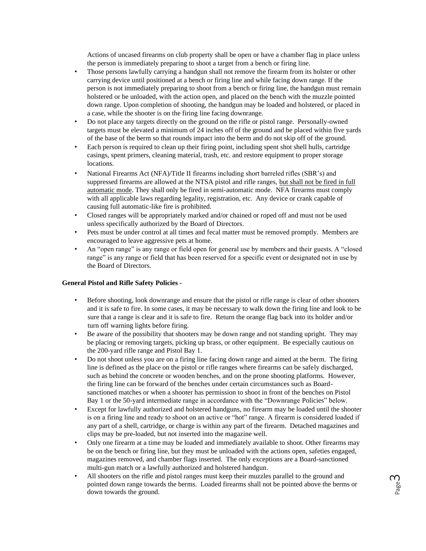Actions of uncased firearms on club property shall be open or have a chamber flag in place unless the person is immediately preparing to shoot a target from a bench or firing line.

- Those persons lawfully carrying a handgun shall not remove the firearm from its holster or other carrying device until positioned at a bench or firing line and while facing down range. If the person is not immediately preparing to shoot from a bench or firing line, the handgun must remain holstered or be unloaded, with the action open, and placed on the bench with the muzzle pointed down range. Upon completion of shooting, the handgun may be loaded and holstered, or placed in a case, while the shooter is on the firing line facing downrange.
- Do not place any targets directly on the ground on the rifle or pistol range. Personally-owned targets must be elevated a minimum of 24 inches off of the ground and be placed within five yards of the base of the berm so that rounds impact into the berm and do not skip off of the ground.
- Each person is required to clean up their firing point, including spent shot shell hulls, cartridge casings, spent primers, cleaning material, trash, etc. and restore equipment to proper storage locations.
- National Firearms Act (NFA)/Title II firearms including short barreled rifles (SBR's) and suppressed firearms are allowed at the NTSA pistol and rifle ranges, but shall not be fired in full automatic mode. They shall only be fired in semi-automatic mode. NFA firearms must comply with all applicable laws regarding legality, registration, etc. Any device or crank capable of causing full automatic-like fire is prohibited.
- Closed ranges will be appropriately marked and/or chained or roped off and must not be used unless specifically authorized by the Board of Directors.
- Pets must be under control at all times and fecal matter must be removed promptly. Members are encouraged to leave aggressive pets at home*.*
- An "open range" is any range or field open for general use by members and their guests. A "closed range" is any range or field that has been reserved for a specific event or designated not in use by the Board of Directors.

#### **General Pistol and Rifle Safety Policies -**

- Before shooting, look downrange and ensure that the pistol or rifle range is clear of other shooters and it is safe to fire. In some cases, it may be necessary to walk down the firing line and look to be sure that a range is clear and it is safe to fire. Return the orange flag back into its holder and/or turn off warning lights before firing.
- Be aware of the possibility that shooters may be down range and not standing upright. They may be placing or removing targets, picking up brass, or other equipment. Be especially cautious on the 200-yard rifle range and Pistol Bay 1.
- Do not shoot unless you are on a firing line facing down range and aimed at the berm. The firing line is defined as the place on the pistol or rifle ranges where firearms can be safely discharged, such as behind the concrete or wooden benches, and on the prone shooting platforms. However, the firing line can be forward of the benches under certain circumstances such as Boardsanctioned matches or when a shooter has permission to shoot in front of the benches on Pistol Bay 1 or the 50-yard intermediate range in accordance with the "Downrange Policies" below.
- Except for lawfully authorized and holstered handguns, no firearm may be loaded until the shooter is on a firing line and ready to shoot on an active or "hot" range. A firearm is considered loaded if any part of a shell, cartridge, or charge is within any part of the firearm. Detached magazines and clips may be pre-loaded, but not inserted into the magazine well.
- Only one firearm at a time may be loaded and immediately available to shoot. Other firearms may be on the bench or firing line, but they must be unloaded with the actions open, safeties engaged, magazines removed, and chamber flags inserted. The only exceptions are a Board-sanctioned multi-gun match or a lawfully authorized and holstered handgun.
- All shooters on the rifle and pistol ranges must keep their muzzles parallel to the ground and pointed down range towards the berms. Loaded firearms shall not be pointed above the berms or down towards the ground.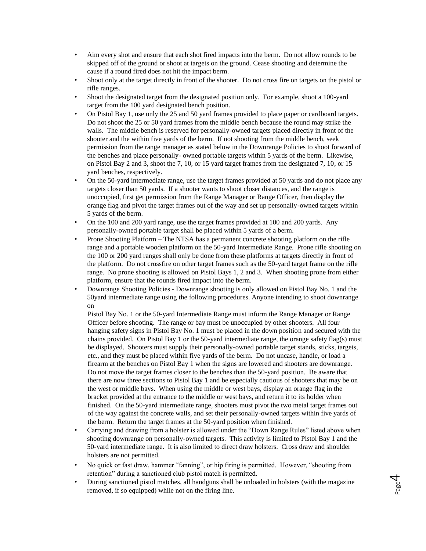- Aim every shot and ensure that each shot fired impacts into the berm. Do not allow rounds to be skipped off of the ground or shoot at targets on the ground. Cease shooting and determine the cause if a round fired does not hit the impact berm.
- Shoot only at the target directly in front of the shooter. Do not cross fire on targets on the pistol or rifle ranges.
- Shoot the designated target from the designated position only. For example, shoot a 100-yard target from the 100 yard designated bench position.
- On Pistol Bay 1, use only the 25 and 50 yard frames provided to place paper or cardboard targets. Do not shoot the 25 or 50 yard frames from the middle bench because the round may strike the walls. The middle bench is reserved for personally-owned targets placed directly in front of the shooter and the within five yards of the berm. If not shooting from the middle bench, seek permission from the range manager as stated below in the Downrange Policies to shoot forward of the benches and place personally- owned portable targets within 5 yards of the berm. Likewise, on Pistol Bay 2 and 3, shoot the 7, 10, or 15 yard target frames from the designated 7, 10, or 15 yard benches, respectively.
- On the 50-yard intermediate range, use the target frames provided at 50 yards and do not place any targets closer than 50 yards. If a shooter wants to shoot closer distances, and the range is unoccupied, first get permission from the Range Manager or Range Officer, then display the orange flag and pivot the target frames out of the way and set up personally-owned targets within 5 yards of the berm.
- On the 100 and 200 yard range, use the target frames provided at 100 and 200 yards. Any personally-owned portable target shall be placed within 5 yards of a berm.
- Prone Shooting Platform The NTSA has a permanent concrete shooting platform on the rifle range and a portable wooden platform on the 50-yard Intermediate Range. Prone rifle shooting on the 100 or 200 yard ranges shall only be done from these platforms at targets directly in front of the platform. Do not crossfire on other target frames such as the 50-yard target frame on the rifle range*.* No prone shooting is allowed on Pistol Bays 1, 2 and 3. When shooting prone from either platform, ensure that the rounds fired impact into the berm.
- Downrange Shooting Policies Downrange shooting is only allowed on Pistol Bay No. 1 and the 50yard intermediate range using the following procedures. Anyone intending to shoot downrange on

Pistol Bay No. 1 or the 50-yard Intermediate Range must inform the Range Manager or Range Officer before shooting. The range or bay must be unoccupied by other shooters. All four hanging safety signs in Pistol Bay No. 1 must be placed in the down position and secured with the chains provided. On Pistol Bay 1 or the 50-yard intermediate range, the orange safety flag(s) must be displayed. Shooters must supply their personally-owned portable target stands, sticks, targets, etc., and they must be placed within five yards of the berm. Do not uncase, handle, or load a firearm at the benches on Pistol Bay 1 when the signs are lowered and shooters are downrange. Do not move the target frames closer to the benches than the 50-yard position. Be aware that there are now three sections to Pistol Bay 1 and be especially cautious of shooters that may be on the west or middle bays. When using the middle or west bays, display an orange flag in the bracket provided at the entrance to the middle or west bays, and return it to its holder when finished. On the 50-yard intermediate range, shooters must pivot the two metal target frames out of the way against the concrete walls, and set their personally-owned targets within five yards of the berm. Return the target frames at the 50-yard position when finished.

- Carrying and drawing from a holster is allowed under the "Down Range Rules" listed above when shooting downrange on personally-owned targets. This activity is limited to Pistol Bay 1 and the 50-yard intermediate range. It is also limited to direct draw holsters. Cross draw and shoulder holsters are not permitted.
- No quick or fast draw, hammer "fanning", or hip firing is permitted. However, "shooting from retention" during a sanctioned club pistol match is permitted.
- During sanctioned pistol matches, all handguns shall be unloaded in holsters (with the magazine removed, if so equipped) while not on the firing line.

Page 4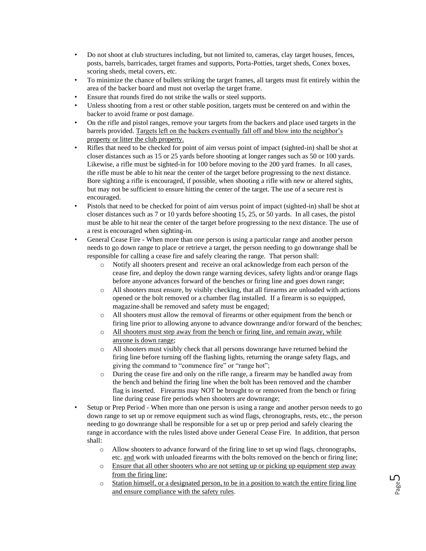- Do not shoot at club structures including, but not limited to, cameras, clay target houses, fences, posts, barrels, barricades, target frames and supports, Porta-Potties, target sheds, Conex boxes, scoring sheds, metal covers, etc.
- To minimize the chance of bullets striking the target frames, all targets must fit entirely within the area of the backer board and must not overlap the target frame.
- Ensure that rounds fired do not strike the walls or steel supports.
- Unless shooting from a rest or other stable position, targets must be centered on and within the backer to avoid frame or post damage.
- On the rifle and pistol ranges, remove your targets from the backers and place used targets in the barrels provided. Targets left on the backers eventually fall off and blow into the neighbor's property or litter the club property.
- Rifles that need to be checked for point of aim versus point of impact (sighted-in) shall be shot at closer distances such as 15 or 25 yards before shooting at longer ranges such as 50 or 100 yards. Likewise, a rifle must be sighted-in for 100 before moving to the 200 yard frames. In all cases, the rifle must be able to hit near the center of the target before progressing to the next distance. Bore sighting a rifle is encouraged, if possible, when shooting a rifle with new or altered sights, but may not be sufficient to ensure hitting the center of the target. The use of a secure rest is encouraged.
- Pistols that need to be checked for point of aim versus point of impact (sighted-in) shall be shot at closer distances such as 7 or 10 yards before shooting 15, 25, or 50 yards. In all cases, the pistol must be able to hit near the center of the target before progressing to the next distance. The use of a rest is encouraged when sighting-in.
- General Cease Fire When more than one person is using a particular range and another person needs to go down range to place or retrieve a target, the person needing to go downrange shall be responsible for calling a cease fire and safely clearing the range. That person shall:
	- o Notify all shooters present and receive an oral acknowledge from each person of the cease fire, and deploy the down range warning devices, safety lights and/or orange flags before anyone advances forward of the benches or firing line and goes down range;
	- o All shooters must ensure, by visibly checking, that all firearms are unloaded with actions opened or the bolt removed or a chamber flag installed. If a firearm is so equipped, magazine shall be removed and safety must be engaged;
	- o All shooters must allow the removal of firearms or other equipment from the bench or firing line prior to allowing anyone to advance downrange and/or forward of the benches;
	- o All shooters must step away from the bench or firing line, and remain away, while anyone is down range;
	- o All shooters must visibly check that all persons downrange have returned behind the firing line before turning off the flashing lights, returning the orange safety flags, and giving the command to "commence fire" or "range hot";
	- o During the cease fire and only on the rifle range, a firearm may be handled away from the bench and behind the firing line when the bolt has been removed and the chamber flag is inserted. Firearms may NOT be brought to or removed from the bench or firing line during cease fire periods when shooters are downrange;
- Setup or Prep Period When more than one person is using a range and another person needs to go down range to set up or remove equipment such as wind flags, chronographs, rests, etc., the person needing to go downrange shall be responsible for a set up or prep period and safely clearing the range in accordance with the rules listed above under General Cease Fire. In addition, that person shall:
	- o Allow shooters to advance forward of the firing line to set up wind flags, chronographs, etc. and work with unloaded firearms with the bolts removed on the bench or firing line;
	- o Ensure that all other shooters who are not setting up or picking up equipment step away from the firing line;
	- $\circ$  Station himself, or a designated person, to be in a position to watch the entire firing line and ensure compliance with the safety rules.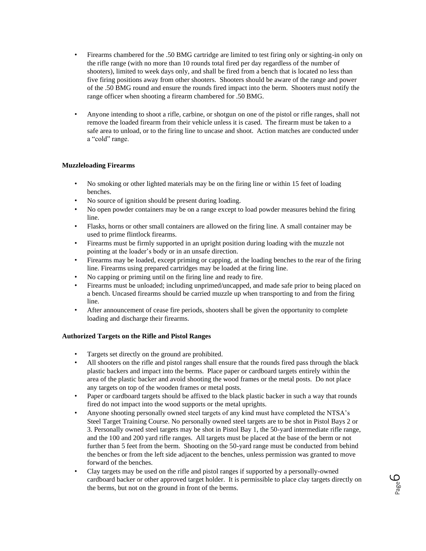- Firearms chambered for the .50 BMG cartridge are limited to test firing only or sighting-in only on the rifle range (with no more than 10 rounds total fired per day regardless of the number of shooters), limited to week days only, and shall be fired from a bench that is located no less than five firing positions away from other shooters. Shooters should be aware of the range and power of the .50 BMG round and ensure the rounds fired impact into the berm. Shooters must notify the range officer when shooting a firearm chambered for .50 BMG.
- Anyone intending to shoot a rifle, carbine, or shotgun on one of the pistol or rifle ranges, shall not remove the loaded firearm from their vehicle unless it is cased. The firearm must be taken to a safe area to unload, or to the firing line to uncase and shoot. Action matches are conducted under a "cold" range.

## **Muzzleloading Firearms**

- No smoking or other lighted materials may be on the firing line or within 15 feet of loading benches.
- No source of ignition should be present during loading.
- No open powder containers may be on a range except to load powder measures behind the firing line.
- Flasks, horns or other small containers are allowed on the firing line. A small container may be used to prime flintlock firearms.
- Firearms must be firmly supported in an upright position during loading with the muzzle not pointing at the loader's body or in an unsafe direction.
- Firearms may be loaded, except priming or capping, at the loading benches to the rear of the firing line. Firearms using prepared cartridges may be loaded at the firing line.
- No capping or priming until on the firing line and ready to fire.
- Firearms must be unloaded; including unprimed/uncapped, and made safe prior to being placed on a bench. Uncased firearms should be carried muzzle up when transporting to and from the firing line.
- After announcement of cease fire periods, shooters shall be given the opportunity to complete loading and discharge their firearms.

## **Authorized Targets on the Rifle and Pistol Ranges**

- Targets set directly on the ground are prohibited.
- All shooters on the rifle and pistol ranges shall ensure that the rounds fired pass through the black plastic backers and impact into the berms. Place paper or cardboard targets entirely within the area of the plastic backer and avoid shooting the wood frames or the metal posts. Do not place any targets on top of the wooden frames or metal posts.
- Paper or cardboard targets should be affixed to the black plastic backer in such a way that rounds fired do not impact into the wood supports or the metal uprights.
- Anyone shooting personally owned steel targets of any kind must have completed the NTSA's Steel Target Training Course. No personally owned steel targets are to be shot in Pistol Bays 2 or 3. Personally owned steel targets may be shot in Pistol Bay 1, the 50-yard intermediate rifle range, and the 100 and 200 yard rifle ranges. All targets must be placed at the base of the berm or not further than 5 feet from the berm. Shooting on the 50-yard range must be conducted from behind the benches or from the left side adjacent to the benches, unless permission was granted to move forward of the benches.
- Clay targets may be used on the rifle and pistol ranges if supported by a personally-owned cardboard backer or other approved target holder. It is permissible to place clay targets directly on the berms, but not on the ground in front of the berms.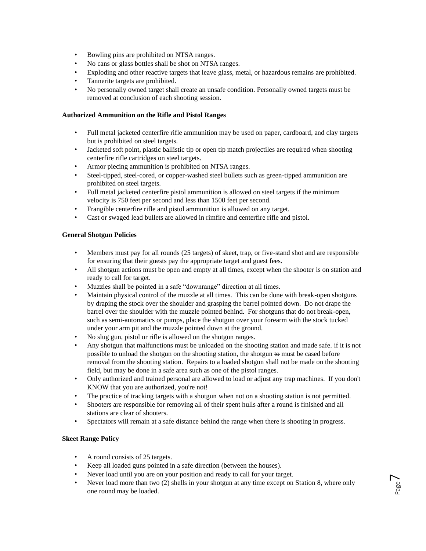- Bowling pins are prohibited on NTSA ranges.
- No cans or glass bottles shall be shot on NTSA ranges.
- Exploding and other reactive targets that leave glass, metal, or hazardous remains are prohibited.
- Tannerite targets are prohibited.
- No personally owned target shall create an unsafe condition. Personally owned targets must be removed at conclusion of each shooting session.

# **Authorized Ammunition on the Rifle and Pistol Ranges**

- Full metal jacketed centerfire rifle ammunition may be used on paper, cardboard, and clay targets but is prohibited on steel targets.
- Jacketed soft point, plastic ballistic tip or open tip match projectiles are required when shooting centerfire rifle cartridges on steel targets.
- Armor piecing ammunition is prohibited on NTSA ranges.
- Steel-tipped, steel-cored, or copper-washed steel bullets such as green-tipped ammunition are prohibited on steel targets.
- Full metal jacketed centerfire pistol ammunition is allowed on steel targets if the minimum velocity is 750 feet per second and less than 1500 feet per second.
- Frangible centerfire rifle and pistol ammunition is allowed on any target.
- Cast or swaged lead bullets are allowed in rimfire and centerfire rifle and pistol.

## **General Shotgun Policies**

- Members must pay for all rounds (25 targets) of skeet, trap, or five-stand shot and are responsible for ensuring that their guests pay the appropriate target and guest fees.
- All shotgun actions must be open and empty at all times, except when the shooter is on station and ready to call for target.
- Muzzles shall be pointed in a safe "downrange" direction at all times.
- Maintain physical control of the muzzle at all times. This can be done with break-open shotguns by draping the stock over the shoulder and grasping the barrel pointed down. Do not drape the barrel over the shoulder with the muzzle pointed behind. For shotguns that do not break-open, such as semi-automatics or pumps, place the shotgun over your forearm with the stock tucked under your arm pit and the muzzle pointed down at the ground.
- No slug gun, pistol or rifle is allowed on the shotgun ranges.
- Any shotgun that malfunctions must be unloaded on the shooting station and made safe. if it is not possible to unload the shotgun on the shooting station, the shotgun to must be cased before removal from the shooting station. Repairs to a loaded shotgun shall not be made on the shooting field, but may be done in a safe area such as one of the pistol ranges.
- Only authorized and trained personal are allowed to load or adjust any trap machines. If you don't KNOW that you are authorized, you're not!
- The practice of tracking targets with a shotgun when not on a shooting station is not permitted.
- Shooters are responsible for removing all of their spent hulls after a round is finished and all stations are clear of shooters.
- Spectators will remain at a safe distance behind the range when there is shooting in progress.

## **Skeet Range Policy**

- A round consists of 25 targets.
- Keep all loaded guns pointed in a safe direction (between the houses).
- Never load until you are on your position and ready to call for your target.
- Never load more than two (2) shells in your shotgun at any time except on Station 8, where only one round may be loaded.

Page  $\overline{\phantom{1}}$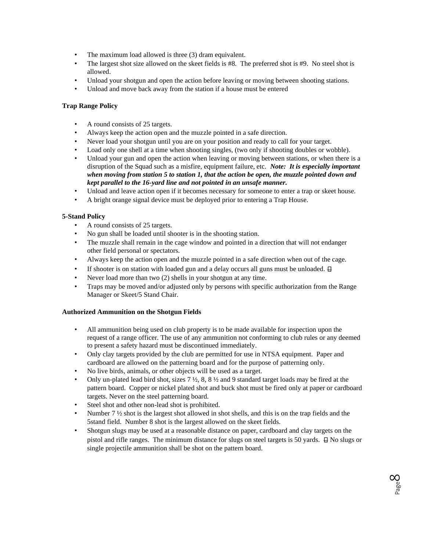- The maximum load allowed is three (3) dram equivalent.
- The largest shot size allowed on the skeet fields is #8. The preferred shot is #9. No steel shot is allowed.
- Unload your shotgun and open the action before leaving or moving between shooting stations.
- Unload and move back away from the station if a house must be entered

# **Trap Range Policy**

- A round consists of 25 targets.
- Always keep the action open and the muzzle pointed in a safe direction.
- Never load your shotgun until you are on your position and ready to call for your target.
- Load only one shell at a time when shooting singles, (two only if shooting doubles or wobble).
- Unload your gun and open the action when leaving or moving between stations, or when there is a disruption of the Squad such as a misfire, equipment failure, etc. *Note: It is especially important when moving from station 5 to station 1, that the action be open, the muzzle pointed down and kept parallel to the 16-yard line and not pointed in an unsafe manner.*
- Unload and leave action open if it becomes necessary for someone to enter a trap or skeet house.
- A bright orange signal device must be deployed prior to entering a Trap House.

# **5-Stand Policy**

- A round consists of 25 targets.
- No gun shall be loaded until shooter is in the shooting station.
- The muzzle shall remain in the cage window and pointed in a direction that will not endanger other field personal or spectators.
- Always keep the action open and the muzzle pointed in a safe direction when out of the cage.
- If shooter is on station with loaded gun and a delay occurs all guns must be unloaded.  $\boxminus$
- Never load more than two (2) shells in your shotgun at any time.
- Traps may be moved and/or adjusted only by persons with specific authorization from the Range Manager or Skeet/5 Stand Chair.

## **Authorized Ammunition on the Shotgun Fields**

- All ammunition being used on club property is to be made available for inspection upon the request of a range officer. The use of any ammunition not conforming to club rules or any deemed to present a safety hazard must be discontinued immediately.
- Only clay targets provided by the club are permitted for use in NTSA equipment. Paper and cardboard are allowed on the patterning board and for the purpose of patterning only.
- No live birds, animals, or other objects will be used as a target.
- Only un-plated lead bird shot, sizes  $7\frac{1}{2}$ , 8, 8  $\frac{1}{2}$  and 9 standard target loads may be fired at the pattern board. Copper or nickel plated shot and buck shot must be fired only at paper or cardboard targets. Never on the steel patterning board.
- Steel shot and other non-lead shot is prohibited.
- Number 7 <sup>1</sup>/<sub>2</sub> shot is the largest shot allowed in shot shells, and this is on the trap fields and the 5stand field. Number 8 shot is the largest allowed on the skeet fields.
- Shotgun slugs may be used at a reasonable distance on paper, cardboard and clay targets on the pistol and rifle ranges. The minimum distance for slugs on steel targets is 50 yards.  $\Box$  No slugs or single projectile ammunition shall be shot on the pattern board.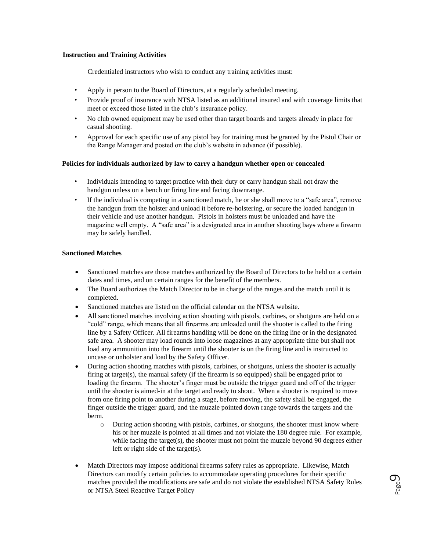## **Instruction and Training Activities**

Credentialed instructors who wish to conduct any training activities must:

- Apply in person to the Board of Directors, at a regularly scheduled meeting.
- Provide proof of insurance with NTSA listed as an additional insured and with coverage limits that meet or exceed those listed in the club's insurance policy.
- No club owned equipment may be used other than target boards and targets already in place for casual shooting.
- Approval for each specific use of any pistol bay for training must be granted by the Pistol Chair or the Range Manager and posted on the club's website in advance (if possible).

#### **Policies for individuals authorized by law to carry a handgun whether open or concealed**

- Individuals intending to target practice with their duty or carry handgun shall not draw the handgun unless on a bench or firing line and facing downrange.
- If the individual is competing in a sanctioned match, he or she shall move to a "safe area", remove the handgun from the holster and unload it before re-holstering, or secure the loaded handgun in their vehicle and use another handgun. Pistols in holsters must be unloaded and have the magazine well empty. A "safe area" is a designated area in another shooting bays where a firearm may be safely handled.

## **Sanctioned Matches**

- Sanctioned matches are those matches authorized by the Board of Directors to be held on a certain dates and times, and on certain ranges for the benefit of the members.
- The Board authorizes the Match Director to be in charge of the ranges and the match until it is completed.
- Sanctioned matches are listed on the official calendar on the NTSA website.
- All sanctioned matches involving action shooting with pistols, carbines, or shotguns are held on a "cold" range, which means that all firearms are unloaded until the shooter is called to the firing line by a Safety Officer. All firearms handling will be done on the firing line or in the designated safe area. A shooter may load rounds into loose magazines at any appropriate time but shall not load any ammunition into the firearm until the shooter is on the firing line and is instructed to uncase or unholster and load by the Safety Officer.
- During action shooting matches with pistols, carbines, or shotguns, unless the shooter is actually firing at target(s), the manual safety (if the firearm is so equipped) shall be engaged prior to loading the firearm. The shooter's finger must be outside the trigger guard and off of the trigger until the shooter is aimed-in at the target and ready to shoot. When a shooter is required to move from one firing point to another during a stage, before moving, the safety shall be engaged, the finger outside the trigger guard, and the muzzle pointed down range towards the targets and the berm.
	- $\circ$  During action shooting with pistols, carbines, or shotguns, the shooter must know where his or her muzzle is pointed at all times and not violate the 180 degree rule. For example, while facing the target(s), the shooter must not point the muzzle beyond 90 degrees either left or right side of the target(s).
- Match Directors may impose additional firearms safety rules as appropriate. Likewise, Match Directors can modify certain policies to accommodate operating procedures for their specific matches provided the modifications are safe and do not violate the established NTSA Safety Rules or NTSA Steel Reactive Target Policy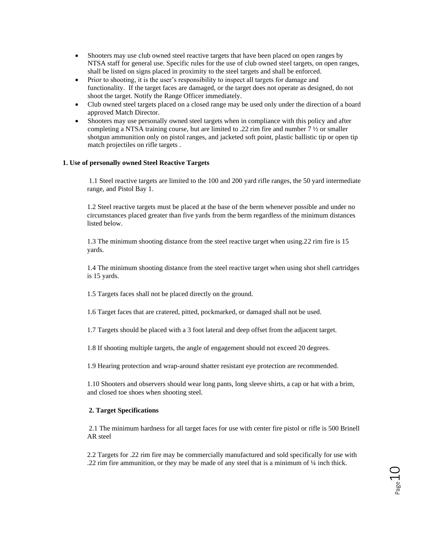- Shooters may use club owned steel reactive targets that have been placed on open ranges by NTSA staff for general use. Specific rules for the use of club owned steel targets, on open ranges, shall be listed on signs placed in proximity to the steel targets and shall be enforced.
- Prior to shooting, it is the user's responsibility to inspect all targets for damage and functionality. If the target faces are damaged, or the target does not operate as designed, do not shoot the target. Notify the Range Officer immediately.
- Club owned steel targets placed on a closed range may be used only under the direction of a board approved Match Director.
- Shooters may use personally owned steel targets when in compliance with this policy and after completing a NTSA training course, but are limited to .22 rim fire and number  $7\frac{1}{2}$  or smaller shotgun ammunition only on pistol ranges, and jacketed soft point, plastic ballistic tip or open tip match projectiles on rifle targets .

#### **1. Use of personally owned Steel Reactive Targets**

1.1 Steel reactive targets are limited to the 100 and 200 yard rifle ranges, the 50 yard intermediate range, and Pistol Bay 1.

1.2 Steel reactive targets must be placed at the base of the berm whenever possible and under no circumstances placed greater than five yards from the berm regardless of the minimum distances listed below.

1.3 The minimum shooting distance from the steel reactive target when using.22 rim fire is 15 yards.

1.4 The minimum shooting distance from the steel reactive target when using shot shell cartridges is 15 yards.

1.5 Targets faces shall not be placed directly on the ground.

1.6 Target faces that are cratered, pitted, pockmarked, or damaged shall not be used.

1.7 Targets should be placed with a 3 foot lateral and deep offset from the adjacent target.

1.8 If shooting multiple targets, the angle of engagement should not exceed 20 degrees.

1.9 Hearing protection and wrap-around shatter resistant eye protection are recommended.

1.10 Shooters and observers should wear long pants, long sleeve shirts, a cap or hat with a brim, and closed toe shoes when shooting steel.

#### **2. Target Specifications**

2.1 The minimum hardness for all target faces for use with center fire pistol or rifle is 500 Brinell AR steel

2.2 Targets for .22 rim fire may be commercially manufactured and sold specifically for use with .22 rim fire ammunition, or they may be made of any steel that is a minimum of  $\frac{1}{4}$  inch thick.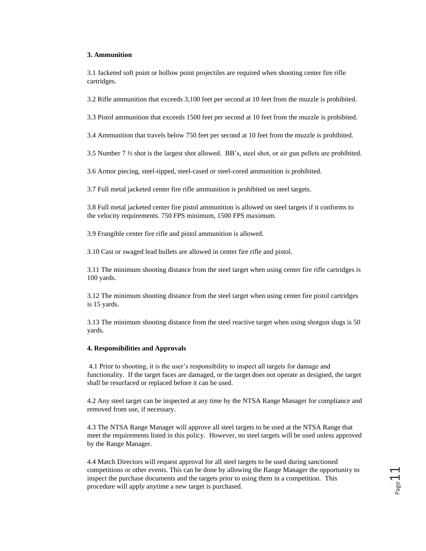#### **3. Ammunition**

3.1 Jacketed soft point or hollow point projectiles are required when shooting center fire rifle cartridges.

3.2 Rifle ammunition that exceeds 3,100 feet per second at 10 feet from the muzzle is prohibited.

3.3 Pistol ammunition that exceeds 1500 feet per second at 10 feet from the muzzle is prohibited.

3.4 Ammunition that travels below 750 feet per second at 10 feet from the muzzle is prohibited.

3.5 Number 7 ½ shot is the largest shot allowed. BB's, steel shot, or air gun pellets are prohibited.

3.6 Armor piecing, steel-tipped, steel-cased or steel-cored ammunition is prohibited.

3.7 Full metal jacketed center fire rifle ammunition is prohibited on steel targets.

3.8 Full metal jacketed center fire pistol ammunition is allowed on steel targets if it conforms to the velocity requirements. 750 FPS minimum, 1500 FPS maximum.

3.9 Frangible center fire rifle and pistol ammunition is allowed.

3.10 Cast or swaged lead bullets are allowed in center fire rifle and pistol.

3.11 The minimum shooting distance from the steel target when using center fire rifle cartridges is 100 yards.

3.12 The minimum shooting distance from the steel target when using center fire pistol cartridges is 15 yards.

3.13 The minimum shooting distance from the steel reactive target when using shotgun slugs is 50 yards.

#### **4. Responsibilities and Approvals**

4.1 Prior to shooting, it is the user's responsibility to inspect all targets for damage and functionality. If the target faces are damaged, or the target does not operate as designed, the target shall be resurfaced or replaced before it can be used.

4.2 Any steel target can be inspected at any time by the NTSA Range Manager for compliance and removed from use, if necessary.

4.3 The NTSA Range Manager will approve all steel targets to be used at the NTSA Range that meet the requirements listed in this policy. However, no steel targets will be used unless approved by the Range Manager.

4.4 Match Directors will request approval for all steel targets to be used during sanctioned competitions or other events. This can be done by allowing the Range Manager the opportunity to inspect the purchase documents and the targets prior to using them in a competition. This procedure will apply anytime a new target is purchased.